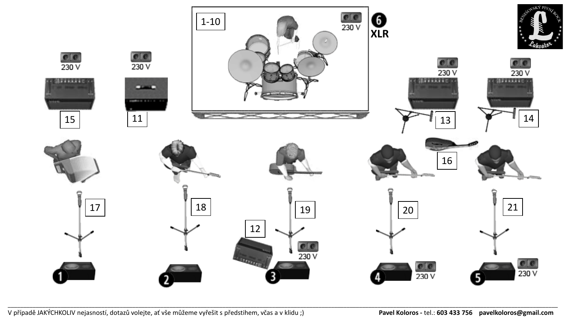

\_\_\_\_\_\_\_\_\_\_\_\_\_\_\_\_\_\_\_\_\_\_\_\_\_\_\_\_\_\_\_\_\_\_\_\_\_\_\_\_\_\_\_\_\_\_\_\_\_\_\_\_\_\_\_\_\_\_\_\_\_\_\_\_\_\_\_\_\_\_\_\_\_\_\_\_\_\_\_\_\_\_\_\_\_\_\_\_\_\_\_\_\_\_\_\_\_\_\_\_\_\_\_\_\_\_\_\_\_\_\_\_\_\_\_\_\_\_\_\_\_\_\_\_\_\_\_\_\_\_\_\_\_\_\_\_\_\_\_\_\_\_\_\_\_\_\_\_\_\_\_\_\_\_\_\_\_\_\_\_\_\_\_\_\_\_\_\_\_\_\_\_\_\_\_\_\_

V případě JAKÝCHKOLIV nejasností, dotazů volejte, ať vše můžeme vyřešit s předstihem, včas a v klidu ;) **Pavel Koloros -** tel.: **603 433 756 pavelkoloros@gmail.com**